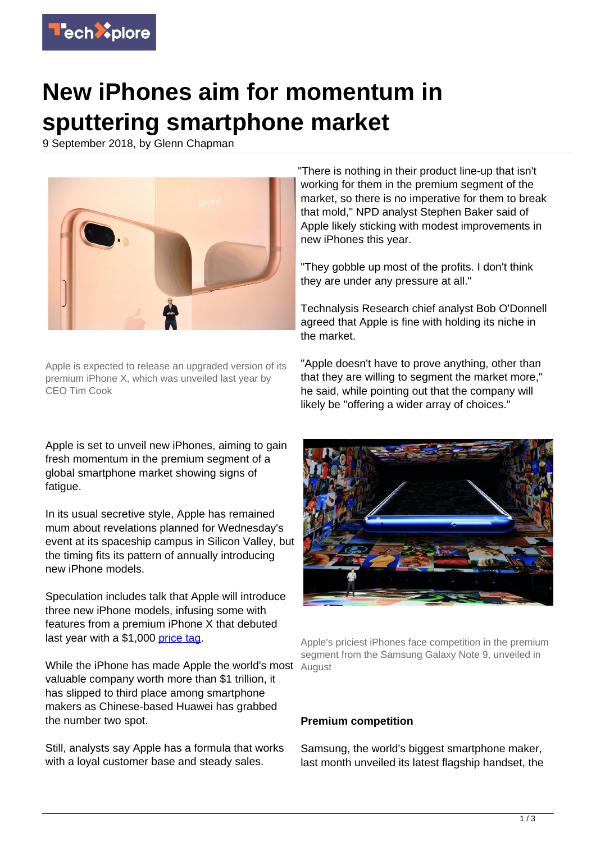

## **New iPhones aim for momentum in sputtering smartphone market**

9 September 2018, by Glenn Chapman



Apple is expected to release an upgraded version of its premium iPhone X, which was unveiled last year by CEO Tim Cook

Apple is set to unveil new iPhones, aiming to gain fresh momentum in the premium segment of a global smartphone market showing signs of fatigue.

In its usual secretive style, Apple has remained mum about revelations planned for Wednesday's event at its spaceship campus in Silicon Valley, but the timing fits its pattern of annually introducing new iPhone models.

Speculation includes talk that Apple will introduce three new iPhone models, infusing some with features from a premium iPhone X that debuted last year with a \$1,000 [price tag.](https://techxplore.com/tags/price+tag/)

While the iPhone has made Apple the world's most August valuable company worth more than \$1 trillion, it has slipped to third place among smartphone makers as Chinese-based Huawei has grabbed the number two spot.

Still, analysts say Apple has a formula that works with a loyal customer base and steady sales.

"There is nothing in their product line-up that isn't working for them in the premium segment of the market, so there is no imperative for them to break that mold," NPD analyst Stephen Baker said of Apple likely sticking with modest improvements in new iPhones this year.

"They gobble up most of the profits. I don't think they are under any pressure at all."

Technalysis Research chief analyst Bob O'Donnell agreed that Apple is fine with holding its niche in the market.

"Apple doesn't have to prove anything, other than that they are willing to segment the market more," he said, while pointing out that the company will likely be "offering a wider array of choices."



Apple's priciest iPhones face competition in the premium segment from the Samsung Galaxy Note 9, unveiled in

## **Premium competition**

Samsung, the world's biggest smartphone maker, last month unveiled its latest flagship handset, the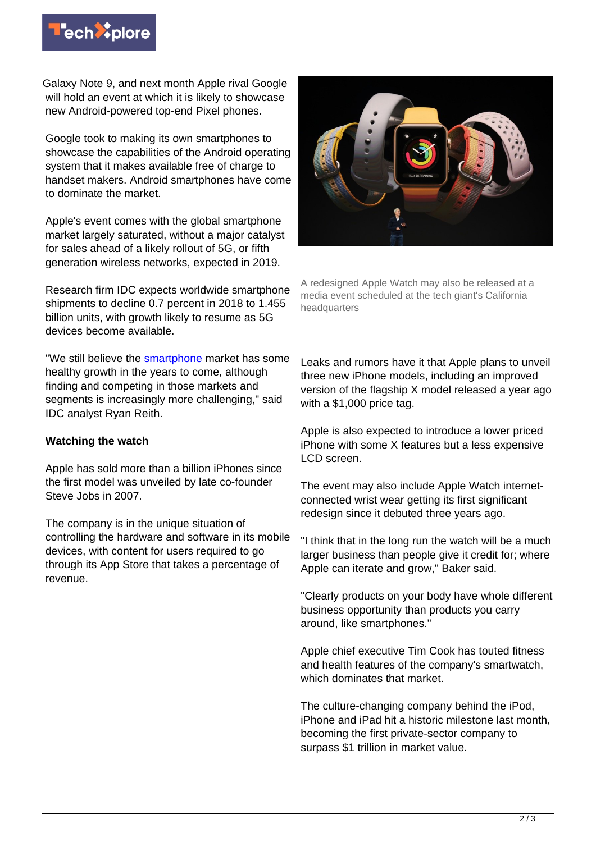

Galaxy Note 9, and next month Apple rival Google will hold an event at which it is likely to showcase new Android-powered top-end Pixel phones.

Google took to making its own smartphones to showcase the capabilities of the Android operating system that it makes available free of charge to handset makers. Android smartphones have come to dominate the market.

Apple's event comes with the global smartphone market largely saturated, without a major catalyst for sales ahead of a likely rollout of 5G, or fifth generation wireless networks, expected in 2019.

Research firm IDC expects worldwide smartphone shipments to decline 0.7 percent in 2018 to 1.455 billion units, with growth likely to resume as 5G devices become available.

"We still believe the **smartphone** market has some healthy growth in the years to come, although finding and competing in those markets and segments is increasingly more challenging." said IDC analyst Ryan Reith.

## **Watching the watch**

Apple has sold more than a billion iPhones since the first model was unveiled by late co-founder Steve Jobs in 2007.

The company is in the unique situation of controlling the hardware and software in its mobile devices, with content for users required to go through its App Store that takes a percentage of revenue.



A redesigned Apple Watch may also be released at a media event scheduled at the tech giant's California headquarters

Leaks and rumors have it that Apple plans to unveil three new iPhone models, including an improved version of the flagship X model released a year ago with a \$1,000 price tag.

Apple is also expected to introduce a lower priced iPhone with some X features but a less expensive LCD screen.

The event may also include Apple Watch internetconnected wrist wear getting its first significant redesign since it debuted three years ago.

"I think that in the long run the watch will be a much larger business than people give it credit for; where Apple can iterate and grow," Baker said.

"Clearly products on your body have whole different business opportunity than products you carry around, like smartphones."

Apple chief executive Tim Cook has touted fitness and health features of the company's smartwatch, which dominates that market.

The culture-changing company behind the iPod, iPhone and iPad hit a historic milestone last month, becoming the first private-sector company to surpass \$1 trillion in market value.